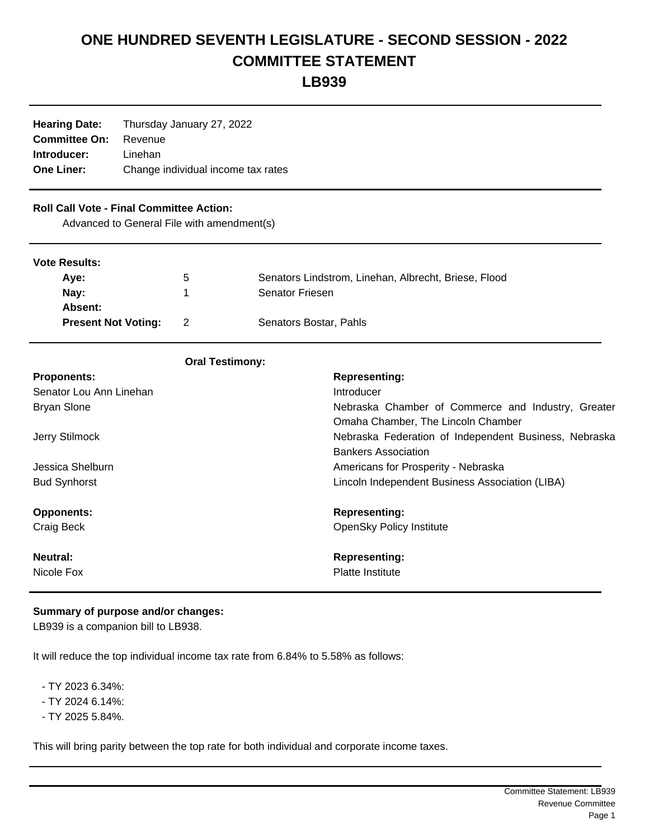# **ONE HUNDRED SEVENTH LEGISLATURE - SECOND SESSION - 2022 COMMITTEE STATEMENT**

**LB939**

| <b>Hearing Date:</b><br><b>Committee On:</b><br>Introducer:<br><b>One Liner:</b>              | Thursday January 27, 2022<br>Revenue<br>Linehan<br>Change individual income tax rates |                        |                                                      |                                                       |
|-----------------------------------------------------------------------------------------------|---------------------------------------------------------------------------------------|------------------------|------------------------------------------------------|-------------------------------------------------------|
| <b>Roll Call Vote - Final Committee Action:</b><br>Advanced to General File with amendment(s) |                                                                                       |                        |                                                      |                                                       |
| <b>Vote Results:</b>                                                                          |                                                                                       |                        |                                                      |                                                       |
| Aye:                                                                                          |                                                                                       | 5                      | Senators Lindstrom, Linehan, Albrecht, Briese, Flood |                                                       |
| Nay:                                                                                          |                                                                                       | 1                      | <b>Senator Friesen</b>                               |                                                       |
| Absent:                                                                                       |                                                                                       |                        |                                                      |                                                       |
| <b>Present Not Voting:</b>                                                                    |                                                                                       | 2                      | Senators Bostar, Pahls                               |                                                       |
|                                                                                               |                                                                                       | <b>Oral Testimony:</b> |                                                      |                                                       |
| <b>Proponents:</b>                                                                            |                                                                                       |                        |                                                      | <b>Representing:</b>                                  |
| Senator Lou Ann Linehan                                                                       |                                                                                       |                        |                                                      | Introducer                                            |
| <b>Bryan Slone</b>                                                                            |                                                                                       |                        | Nebraska Chamber of Commerce and Industry, Greater   |                                                       |
|                                                                                               |                                                                                       |                        |                                                      | Omaha Chamber, The Lincoln Chamber                    |
| <b>Jerry Stilmock</b>                                                                         |                                                                                       |                        |                                                      | Nebraska Federation of Independent Business, Nebraska |
|                                                                                               |                                                                                       |                        |                                                      | <b>Bankers Association</b>                            |
| Jessica Shelburn                                                                              |                                                                                       |                        |                                                      | Americans for Prosperity - Nebraska                   |
| <b>Bud Synhorst</b>                                                                           |                                                                                       |                        |                                                      | Lincoln Independent Business Association (LIBA)       |
| <b>Opponents:</b>                                                                             |                                                                                       |                        |                                                      | <b>Representing:</b>                                  |
| Craig Beck                                                                                    |                                                                                       |                        |                                                      | <b>OpenSky Policy Institute</b>                       |
| <b>Neutral:</b>                                                                               |                                                                                       |                        |                                                      | <b>Representing:</b>                                  |
| Nicole Fox                                                                                    |                                                                                       |                        |                                                      | Platte Institute                                      |

### **Summary of purpose and/or changes:**

LB939 is a companion bill to LB938.

It will reduce the top individual income tax rate from 6.84% to 5.58% as follows:

- TY 2023 6.34%:

- TY 2024 6.14%:

- TY 2025 5.84%.

This will bring parity between the top rate for both individual and corporate income taxes.